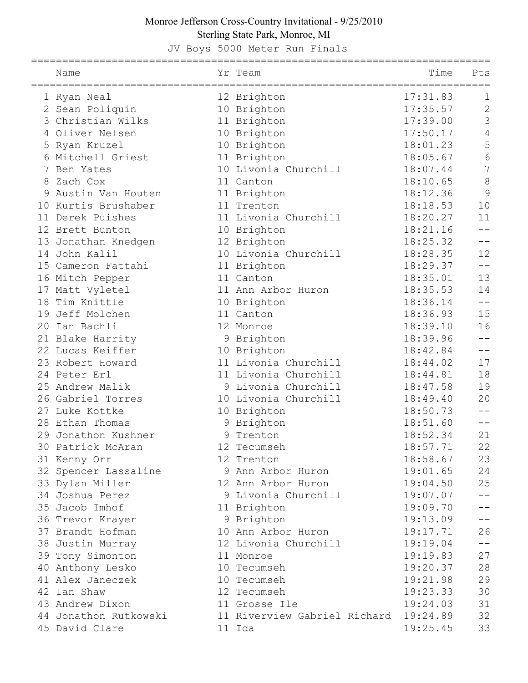## Monroe Jefferson Cross-Country Invitational - 9/25/2010 Sterling State Park, Monroe, MI

JV Boys 5000 Meter Run Finals

|    | Name<br>===================================== |   | Yr Team                      | Time     | Pts            |
|----|-----------------------------------------------|---|------------------------------|----------|----------------|
|    | Ryan Neal                                     |   | 12 Brighton                  | 17:31.83 | 1              |
|    | 2 Sean Poliquin                               |   | 10 Brighton                  | 17:35.57 | $\overline{2}$ |
| 3  | Christian Wilks                               |   | 11 Brighton                  | 17:39.00 | 3              |
|    | 4 Oliver Nelsen                               |   | 10 Brighton                  | 17:50.17 | 4              |
| 5  | Ryan Kruzel                                   |   | 10 Brighton                  | 18:01.23 | 5              |
| 6  | Mitchell Griest                               |   | 11 Brighton                  | 18:05.67 | 6              |
| 7  | Ben Yates                                     |   | 10 Livonia Churchill         | 18:07.44 | $\overline{7}$ |
| 8  | Zach Cox                                      |   | 11 Canton                    | 18:10.65 | 8              |
| 9  | Austin Van Houten                             |   | 11 Brighton                  | 18:12.36 | 9              |
| 10 | Kurtis Brushaber                              |   | 11 Trenton                   | 18:18.53 | 10             |
|    | 11 Derek Puishes                              |   | 11 Livonia Churchill         | 18:20.27 | 11             |
|    | 12 Brett Bunton                               |   | 10 Brighton                  | 18:21.16 |                |
|    | 13 Jonathan Knedgen                           |   | 12 Brighton                  | 18:25.32 |                |
|    | 14 John Kalil                                 |   | 10 Livonia Churchill         | 18:28.35 | 12             |
| 15 | Cameron Fattahi                               |   | 11 Brighton                  | 18:29.37 |                |
|    | 16 Mitch Pepper                               |   | 11 Canton                    | 18:35.01 | 13             |
|    | 17 Matt Vyletel                               |   | 11 Ann Arbor Huron           | 18:35.53 | 14             |
|    | 18 Tim Knittle                                |   | 10 Brighton                  | 18:36.14 |                |
| 19 | Jeff Molchen                                  |   | 11 Canton                    | 18:36.93 | 15             |
| 20 | Ian Bachli                                    |   | 12 Monroe                    | 18:39.10 | 16             |
|    | 21 Blake Harrity                              | 9 | Brighton                     | 18:39.96 |                |
|    | 22 Lucas Keiffer                              |   | 10 Brighton                  | 18:42.84 |                |
|    | 23 Robert Howard                              |   | 11 Livonia Churchill         | 18:44.02 | 17             |
|    | 24 Peter Erl                                  |   | 11 Livonia Churchill         | 18:44.81 | 18             |
|    | 25 Andrew Malik                               |   | 9 Livonia Churchill          | 18:47.58 | 19             |
|    | 26 Gabriel Torres                             |   | 10 Livonia Churchill         | 18:49.40 | 20             |
| 27 | Luke Kottke                                   |   | 10 Brighton                  | 18:50.73 |                |
|    | 28 Ethan Thomas                               | 9 | Brighton                     | 18:51.60 |                |
|    | 29 Jonathon Kushner                           | 9 | Trenton                      | 18:52.34 | 21             |
|    | 30 Patrick McAran                             |   | 12 Tecumseh                  | 18:57.71 | 22             |
|    | 31 Kenny Orr                                  |   | 12 Trenton                   | 18:58.67 | 23             |
|    | 32 Spencer Lassaline                          |   | 9 Ann Arbor Huron            | 19:01.65 | 24             |
|    | 33 Dylan Miller                               |   | 12 Ann Arbor Huron           | 19:04.50 | 25             |
|    | 34 Joshua Perez                               |   | 9 Livonia Churchill          | 19:07.07 | $-1$           |
|    | 35 Jacob Imhof                                |   | 11 Brighton                  | 19:09.70 | $- -$          |
|    | 36 Trevor Krayer                              |   | 9 Brighton                   | 19:13.09 | $- -$          |
|    | 37 Brandt Hofman                              |   | 10 Ann Arbor Huron           | 19:17.71 | 26             |
|    | 38 Justin Murray                              |   | 12 Livonia Churchill         | 19:19.04 | $- -$          |
|    | 39 Tony Simonton                              |   | 11 Monroe                    | 19:19.83 | 27             |
|    | 40 Anthony Lesko                              |   | 10 Tecumseh                  | 19:20.37 | 28             |
|    | 41 Alex Janeczek                              |   | 10 Tecumseh                  | 19:21.98 | 29             |
|    | 42 Ian Shaw                                   |   | 12 Tecumseh                  | 19:23.33 | 30             |
|    | 43 Andrew Dixon                               |   | 11 Grosse Ile                | 19:24.03 | 31             |
|    | 44 Jonathon Rutkowski                         |   | 11 Riverview Gabriel Richard | 19:24.89 | 32             |
|    | 45 David Clare                                |   | 11 Ida                       | 19:25.45 | 33             |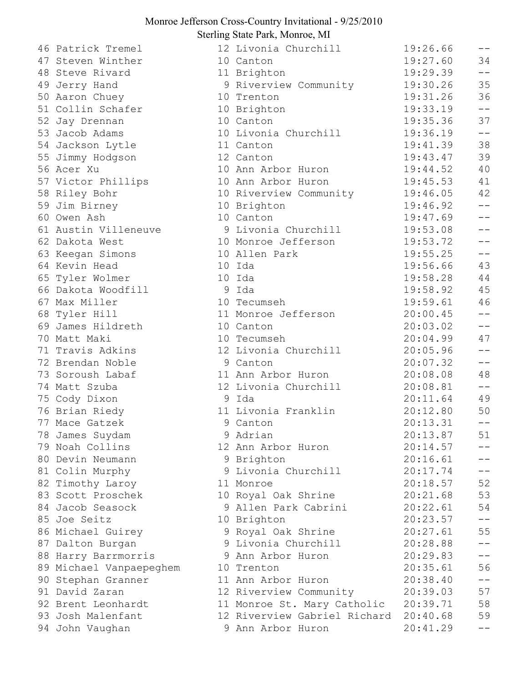## Monroe Jefferson Cross-Country Invitational - 9/25/2010 Sterling State Park, Monroe, MI

46 Patrick Tremel 47 Steven Winther 48 Steve Rivard 49 Jerry Hand 50 Aaron Chuey 51 Collin Schafer 52 Jay Drennan 53 Jacob Adams 54 Jackson Lytle 55 Jimmy Hodgson 56 Acer Xu 57 Victor Phillips 58 Riley Bohr 59 Jim Birney 60 Owen Ash 61 Austin Villeneuve 62 Dakota West 63 Keegan Simons 64 Kevin Head 65 Tyler Wolmer 66 Dakota Woodfill 67 Max Miller 68 Tyler Hill 69 James Hildreth 70 Matt Maki 71 Travis Adkins 72 Brendan Noble 73 Soroush Labaf 74 Matt Szuba 75 Cody Dixon 76 Brian Riedy 77 Mace Gatzek 78 James Suydam 79 Noah Collins 80 Devin Neumann 81 Colin Murphy 82 Timothy Laroy 83 Scott Proschek 84 Jacob Seasock 85 Joe Seitz 86 Michael Guirey 87 Dalton Burgan 88 Harry Barrmorris 89 Michael Vanpaepeghem 90 Stephan Granner 91 David Zaran 92 Brent Leonhardt 93 Josh Malenfant 94 John Vaughan

| 12 Livonia Churchill         | 19:26.66 | $- -$           |
|------------------------------|----------|-----------------|
| 10 Canton                    | 19:27.60 | 34              |
| 11 Brighton                  | 19:29.39 | $- -$           |
| 9 Riverview Community        | 19:30.26 | 35              |
| 10 Trenton                   | 19:31.26 | 36              |
| 10 Brighton                  | 19:33.19 | $ -$            |
| 10 Canton                    | 19:35.36 | 37              |
| 10 Livonia Churchill         | 19:36.19 | --              |
| 11 Canton                    | 19:41.39 | 38              |
| 12 Canton                    | 19:43.47 | 39              |
| 10 Ann Arbor Huron           | 19:44.52 | 40              |
| 10 Ann Arbor Huron           | 19:45.53 | 41              |
| 10 Riverview Community       | 19:46.05 | 42              |
| 10 Brighton                  | 19:46.92 | $ -$            |
| 10 Canton                    | 19:47.69 | $\perp$ $\perp$ |
| 9 Livonia Churchill          | 19:53.08 | $\perp$ $\perp$ |
| 10 Monroe Jefferson          | 19:53.72 | $-$             |
| 10 Allen Park                | 19:55.25 | $- -$           |
| 10 Ida                       | 19:56.66 | 43              |
| 10 Ida                       | 19:58.28 | 44              |
| 9 Ida                        | 19:58.92 | 45              |
| 10 Tecumseh                  | 19:59.61 | 46              |
| 11 Monroe Jefferson          | 20:00.45 |                 |
| 10 Canton                    | 20:03.02 | $ -$            |
| 10 Tecumseh                  | 20:04.99 | 47              |
| 12 Livonia Churchill         | 20:05.96 |                 |
| 9 Canton                     | 20:07.32 | $ -$            |
| 11 Ann Arbor Huron           | 20:08.08 | 48              |
| 12 Livonia Churchill         | 20:08.81 | $ -$            |
| 9 Ida                        | 20:11.64 | 49              |
| 11 Livonia Franklin          | 20:12.80 | 50              |
| 9 Canton                     | 20:13.31 |                 |
| 9 Adrian                     | 20:13.87 | 51              |
| 12 Ann Arbor Huron           | 20:14.57 |                 |
| 9 Brighton                   | 20:16.61 |                 |
| 9 Livonia Churchill          | 20:17.74 |                 |
| 11 Monroe                    | 20:18.57 | 52              |
| 10 Royal Oak Shrine          | 20:21.68 | 53              |
| 9 Allen Park Cabrini         | 20:22.61 | 54              |
| 10 Brighton                  | 20:23.57 | $ -$            |
| 9 Royal Oak Shrine           | 20:27.61 | 55              |
| 9 Livonia Churchill          | 20:28.88 |                 |
| 9 Ann Arbor Huron            | 20:29.83 |                 |
| 10 Trenton                   | 20:35.61 | 56              |
| 11 Ann Arbor Huron           | 20:38.40 |                 |
| 12 Riverview Community       | 20:39.03 | 57              |
| 11 Monroe St. Mary Catholic  | 20:39.71 | 58              |
| 12 Riverview Gabriel Richard | 20:40.68 | 59              |
| 9 Ann Arbor Huron            | 20:41.29 | $-1$            |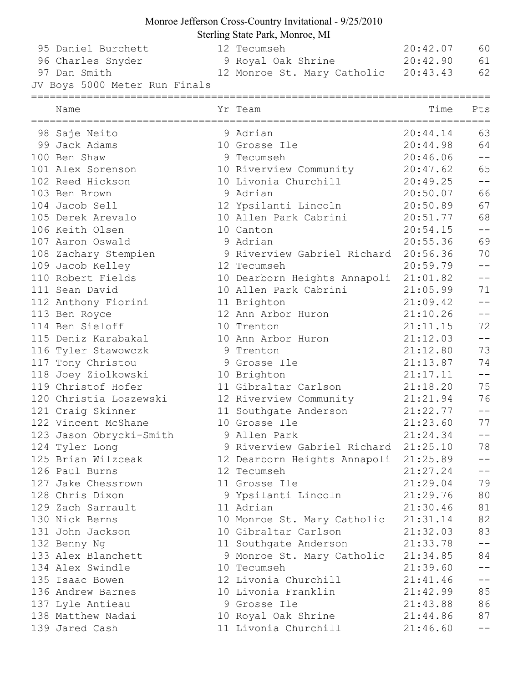## Monroe Jefferson Cross-Country Invitational - 9/25/2010

Sterling State Park, Monroe, MI

| 95 Daniel Burchett<br>96 Charles Snyder | 12 Tecumseh<br>9 Royal Oak Shrine    | 20:42.07<br>20:42.90 | 60<br>61                                       |
|-----------------------------------------|--------------------------------------|----------------------|------------------------------------------------|
| 97 Dan Smith                            |                                      |                      | 62                                             |
| JV Boys 5000 Meter Run Finals           | 12 Monroe St. Mary Catholic 20:43.43 |                      |                                                |
| ====================                    | :==================                  |                      |                                                |
| Name                                    | Yr Team                              | Time                 | Pts                                            |
| 98 Saje Neito                           | 9 Adrian                             | 20:44.14             | 63                                             |
| 99 Jack Adams                           | 10 Grosse Ile                        | 20:44.98             | 64                                             |
| 100 Ben Shaw                            | 9 Tecumseh                           | 20:46.06             | $-\,-$                                         |
| 101 Alex Sorenson                       | 10 Riverview Community               | 20:47.62             | 65                                             |
| 102 Reed Hickson                        | 10 Livonia Churchill                 | 20:49.25             | $- -$                                          |
| 103 Ben Brown                           | 9 Adrian                             | 20:50.07             | 66                                             |
| 104 Jacob Sell                          | 12 Ypsilanti Lincoln                 | 20:50.89             | 67                                             |
| 105 Derek Arevalo                       | 10 Allen Park Cabrini                | 20:51.77             | 68                                             |
| 106 Keith Olsen                         | 10 Canton                            | 20:54.15             | $\qquad \qquad -$                              |
| 107 Aaron Oswald                        | 9 Adrian                             | 20:55.36             | 69                                             |
| 108 Zachary Stempien                    | 9 Riverview Gabriel Richard          | 20:56.36             | 70                                             |
| 109 Jacob Kelley                        | 12 Tecumseh                          | 20:59.79             | $- -$                                          |
| 110 Robert Fields                       | 10 Dearborn Heights Annapoli         | 21:01.82             | $\hspace{0.1mm}-\hspace{0.1mm}-\hspace{0.1mm}$ |
| 111 Sean David                          | 10 Allen Park Cabrini                | 21:05.99             | 71                                             |
| 112 Anthony Fiorini                     | 11 Brighton                          | 21:09.42             | $- -$                                          |
| 113 Ben Royce                           | 12 Ann Arbor Huron                   | 21:10.26             | $-\,-$                                         |
| 114 Ben Sieloff                         | 10 Trenton                           | 21:11.15             | 72                                             |
| 115 Deniz Karabakal                     | 10 Ann Arbor Huron                   | 21:12.03             | $-\,-$                                         |
| 116 Tyler Stawowczk                     | 9 Trenton                            | 21:12.80             | 73                                             |
| 117 Tony Christou                       | 9 Grosse Ile                         | 21:13.87             | 74                                             |
| 118 Joey Ziolkowski                     | 10 Brighton                          | 21:17.11             | $-\,-$                                         |
| 119 Christof Hofer                      | 11 Gibraltar Carlson                 | 21:18.20             | 75                                             |
| 120 Christia Loszewski                  | 12 Riverview Community               | 21:21.94             | 76                                             |
| 121 Craig Skinner                       | 11 Southgate Anderson                | 21:22.77             | $-\,-$                                         |
| 122 Vincent McShane                     | 10 Grosse Ile                        | 21:23.60             | 77                                             |
| 123 Jason Obrycki-Smith                 | 9 Allen Park                         | 21:24.34             |                                                |
| 124 Tyler Long                          | 9 Riverview Gabriel Richard          | 21:25.10             | 78                                             |
| 125 Brian Wilzceak                      | 12 Dearborn Heights Annapoli         | 21:25.89             | $  \,$                                         |
| 126 Paul Burns                          | 12 Tecumseh                          | 21:27.24             | $-\,-$                                         |
| 127 Jake Chessrown                      | 11 Grosse Ile                        | 21:29.04             | 79                                             |
| 128 Chris Dixon                         | 9 Ypsilanti Lincoln                  | 21:29.76             | 80                                             |
| 129 Zach Sarrault                       | 11 Adrian                            | 21:30.46             | 81                                             |
| 130 Nick Berns                          | 10 Monroe St. Mary Catholic          | 21:31.14             | 82                                             |
| 131 John Jackson                        | 10 Gibraltar Carlson                 | 21:32.03             | 83                                             |
| 132 Benny Ng                            | 11 Southgate Anderson                | 21:33.78             | $-\,-$                                         |
| 133 Alex Blanchett                      | 9 Monroe St. Mary Catholic           | 21:34.85             | 84                                             |
| 134 Alex Swindle                        | 10 Tecumseh                          | 21:39.60             | $--\,$                                         |
| 135 Isaac Bowen                         | 12 Livonia Churchill                 | 21:41.46             | $\overline{\phantom{m}}$                       |
| 136 Andrew Barnes                       | 10 Livonia Franklin                  | 21:42.99             | 85                                             |
| 137 Lyle Antieau                        | 9 Grosse Ile                         | 21:43.88             | 86                                             |
| 138 Matthew Nadai                       | 10 Royal Oak Shrine                  | 21:44.86             | 87                                             |
| 139 Jared Cash                          | 11 Livonia Churchill                 | 21:46.60             |                                                |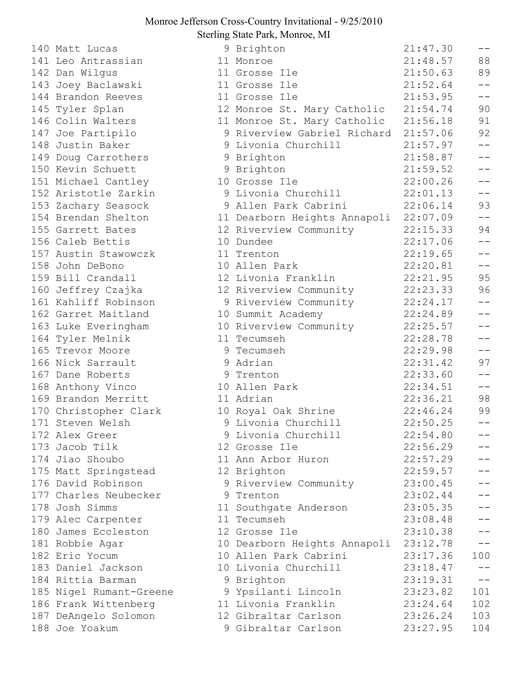## Monroe Jefferson Cross-Country Invitational - 9/25/2010 Sterling State Park, Monroe, MI

140 Matt Lucas 141 Leo Antrassian 142 Dan Wilgus 143 Joey Baclawski 144 Brandon Reeves 145 Tyler Splan 146 Colin Walters 147 Joe Partipilo 148 Justin Baker 149 Doug Carrothers 150 Kevin Schuett 151 Michael Cantley 152 Aristotle Zarkin 153 Zachary Seasock 154 Brendan Shelton 155 Garrett Bates 156 Caleb Bettis 157 Austin Stawowczk 158 John DeBono 159 Bill Crandall 160 Jeffrey Czajka 161 Kahliff Robinson 162 Garret Maitland 163 Luke Everingham 164 Tyler Melnik 165 Trevor Moore 166 Nick Sarrault 167 Dane Roberts 168 Anthony Vinco 169 Brandon Merritt 170 Christopher Clark 171 Steven Welsh 172 Alex Greer 173 Jacob Tilk 174 Jiao Shoubo 175 Matt Springstead 176 David Robinson 177 Charles Neubecker 178 Josh Simms 179 Alec Carpenter 180 James Eccleston 181 Robbie Agar 182 Eric Yocum 183 Daniel Jackson 184 Rittia Barman 185 Nigel Rumant-Greene 186 Frank Wittenberg 187 DeAngelo Solomon 188 Joe Yoakum

|   | 9 Brighton                   | 21:47.30 | $- -$   |
|---|------------------------------|----------|---------|
|   | 11 Monroe                    | 21:48.57 | 88      |
|   | 11 Grosse Ile                | 21:50.63 | 89      |
|   | 11 Grosse Ile                | 21:52.64 | $- -$   |
|   | 11 Grosse Ile                | 21:53.95 | $-$     |
|   | 12 Monroe St. Mary Catholic  | 21:54.74 | 90      |
|   | 11 Monroe St. Mary Catholic  | 21:56.18 | 91      |
|   | 9 Riverview Gabriel Richard  | 21:57.06 | 92      |
|   | 9 Livonia Churchill          | 21:57.97 | $- -$   |
|   | 9 Brighton                   | 21:58.87 | $- -$   |
|   | 9 Brighton                   | 21:59.52 |         |
|   | 10 Grosse Ile                | 22:00.26 | $ -$    |
|   | 9 Livonia Churchill          | 22:01.13 | $ -$    |
|   | 9 Allen Park Cabrini         | 22:06.14 | 93      |
|   | 11 Dearborn Heights Annapoli | 22:07.09 | $- -$   |
|   | 12 Riverview Community       | 22:15.33 | 94      |
|   | 10 Dundee                    | 22:17.06 |         |
|   | 11 Trenton                   | 22:19.65 | $ -$    |
|   | 10 Allen Park                | 22:20.81 | $- -$   |
|   | 12 Livonia Franklin          | 22:21.95 | 95      |
|   | 12 Riverview Community       | 22:23.33 | 96      |
|   | 9 Riverview Community        | 22:24.17 | $- -$   |
|   | 10 Summit Academy            | 22:24.89 |         |
|   | 10 Riverview Community       | 22:25.57 | $ -$    |
|   | 11 Tecumseh                  | 22:28.78 | $ -$    |
|   | 9 Tecumseh                   | 22:29.98 | $-$     |
| 9 | Adrian                       | 22:31.42 | 97      |
|   | 9 Trenton                    | 22:33.60 | $- -$   |
|   | 10 Allen Park                | 22:34.51 | $=$ $-$ |
|   | 11 Adrian                    | 22:36.21 | 98      |
|   | 10 Royal Oak Shrine          | 22:46.24 | 99      |
| 9 | Livonia Churchill            | 22:50.25 |         |
|   | 9 Livonia Churchill          | 22:54.80 |         |
|   | 12 Grosse Ile                | 22:56.29 |         |
|   | 11 Ann Arbor Huron           | 22:57.29 |         |
|   | 12 Brighton                  | 22:59.57 | $=$ $-$ |
| 9 | Riverview Community          | 23:00.45 |         |
|   | 9 Trenton                    | 23:02.44 |         |
|   | 11 Southgate Anderson        | 23:05.35 |         |
|   | 11 Tecumseh                  | 23:08.48 |         |
|   | 12 Grosse Ile                | 23:10.38 |         |
|   | 10 Dearborn Heights Annapoli | 23:12.78 | --      |
|   | 10 Allen Park Cabrini        | 23:17.36 | 100     |
|   | 10 Livonia Churchill         | 23:18.47 |         |
|   | 9 Brighton                   | 23:19.31 | $-1$    |
|   | 9 Ypsilanti Lincoln          | 23:23.82 | 101     |
|   | 11 Livonia Franklin          | 23:24.64 | 102     |
|   | 12 Gibraltar Carlson         | 23:26.24 | 103     |
|   | 9 Gibraltar Carlson          | 23:27.95 | 104     |